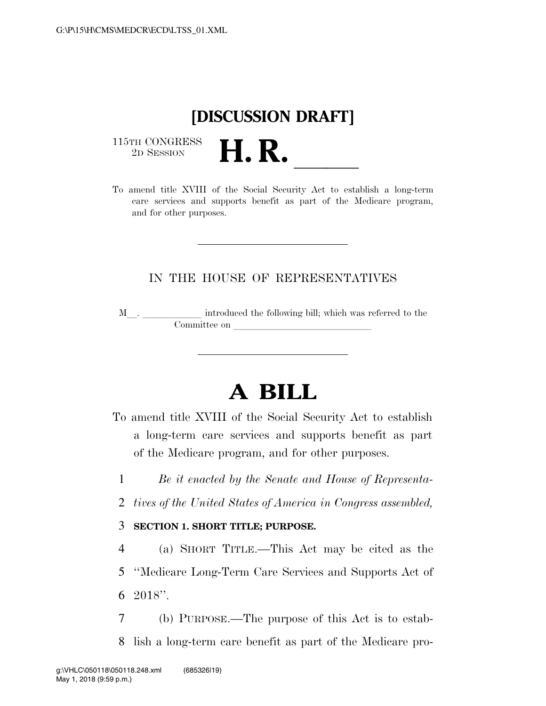## **[DISCUSSION DRAFT]**

 $\begin{array}{c} \textbf{115TH CONGRESS} \\ \textbf{2D} \textbf{Session} \end{array}$ 



### IN THE HOUSE OF REPRESENTATIVES

M<sub>\_\_\_</sub>. \_\_\_\_\_\_\_\_\_\_\_\_\_\_ introduced the following bill; which was referred to the  $\noindent \begin{tabular}{c} \multicolumn{1}{c|}{\textbf{Committee on}}\\ \multicolumn{2}{c|}{\textbf{Committee on}}\\ \multicolumn{2}{c|}{\textbf{Committee on}}\\ \multicolumn{2}{c|}{\textbf{Commitree on}}\\ \multicolumn{2}{c|}{\textbf{Commitree on}}\\ \multicolumn{2}{c|}{\textbf{Commitree on}}\\ \multicolumn{2}{c|}{\textbf{Commitree on}}\\ \multicolumn{2}{c|}{\textbf{Commitree on}}\\ \multicolumn{2}{c|}{\textbf{Commitree on}}\\ \multicolumn{2}{c|}{\textbf{Commitree on}}\\ \multicolumn{2}{c|$ 

# **A BILL**

To amend title XVIII of the Social Security Act to establish a long-term care services and supports benefit as part of the Medicare program, and for other purposes.

1 *Be it enacted by the Senate and House of Representa-*

2 *tives of the United States of America in Congress assembled,* 

#### 3 **SECTION 1. SHORT TITLE; PURPOSE.**

4 (a) SHORT TITLE.—This Act may be cited as the 5 ''Medicare Long-Term Care Services and Supports Act of  $6\quad 2018$ ".

7 (b) PURPOSE.—The purpose of this Act is to estab-8 lish a long-term care benefit as part of the Medicare pro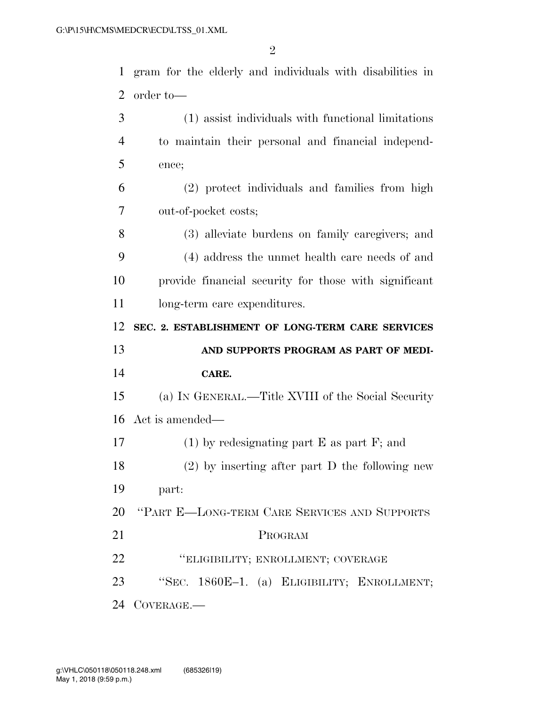gram for the elderly and individuals with disabilities in order to— (1) assist individuals with functional limitations to maintain their personal and financial independ-

ence;

 (2) protect individuals and families from high out-of-pocket costs;

 (3) alleviate burdens on family caregivers; and (4) address the unmet health care needs of and provide financial security for those with significant 11 long-term care expenditures.

 **SEC. 2. ESTABLISHMENT OF LONG-TERM CARE SERVICES AND SUPPORTS PROGRAM AS PART OF MEDI-**

#### **CARE.**

 (a) IN GENERAL.—Title XVIII of the Social Security Act is amended—

 (1) by redesignating part E as part F; and (2) by inserting after part D the following new

part:

''PART E—LONG-TERM CARE SERVICES AND SUPPORTS

- PROGRAM
- ''ELIGIBILITY; ENROLLMENT; COVERAGE
- ''SEC. 1860E–1. (a) ELIGIBILITY; ENROLLMENT;

COVERAGE.—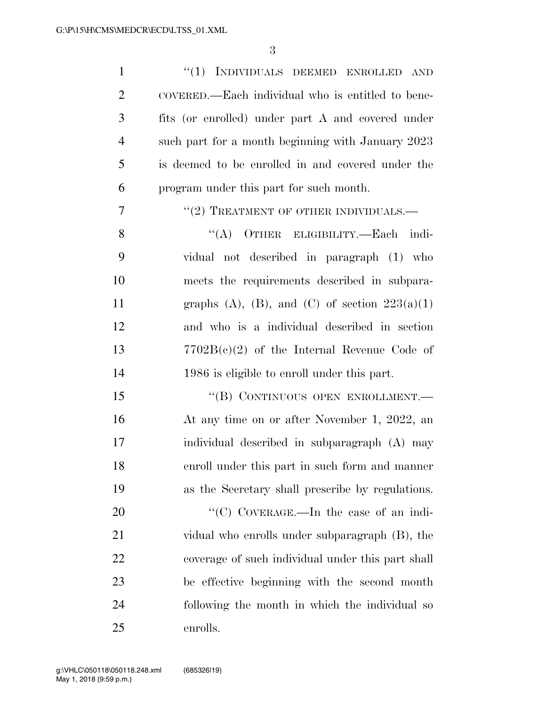1 "(1) INDIVIDUALS DEEMED ENROLLED AND COVERED.—Each individual who is entitled to bene- fits (or enrolled) under part A and covered under such part for a month beginning with January 2023 is deemed to be enrolled in and covered under the program under this part for such month. ''(2) TREATMENT OF OTHER INDIVIDUALS.— 8 "(A) OTHER ELIGIBILITY.—Each indi- vidual not described in paragraph (1) who meets the requirements described in subpara-11 graphs (A), (B), and (C) of section  $223(a)(1)$  and who is a individual described in section 7702B(c)(2) of the Internal Revenue Code of 1986 is eligible to enroll under this part. 15 "(B) CONTINUOUS OPEN ENROLLMENT.— At any time on or after November 1, 2022, an individual described in subparagraph (A) may enroll under this part in such form and manner as the Secretary shall prescribe by regulations. 20 "'(C) COVERAGE.—In the case of an indi- vidual who enrolls under subparagraph (B), the coverage of such individual under this part shall be effective beginning with the second month following the month in which the individual so enrolls.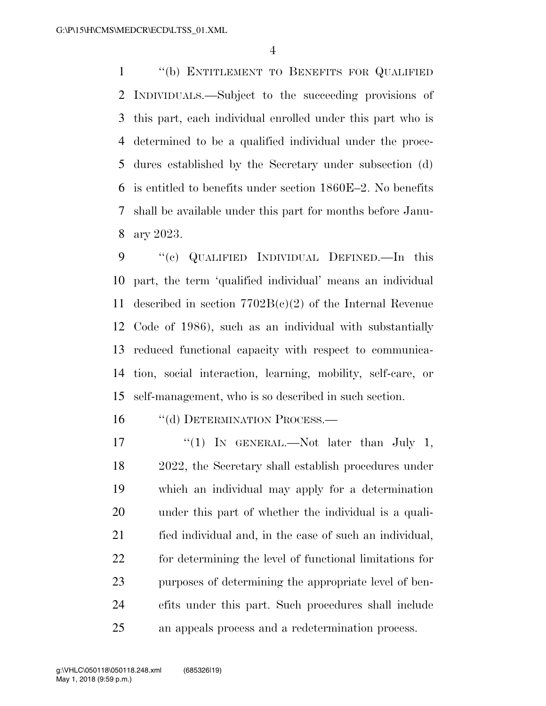''(b) ENTITLEMENT TO BENEFITS FOR QUALIFIED INDIVIDUALS.—Subject to the succeeding provisions of this part, each individual enrolled under this part who is determined to be a qualified individual under the proce- dures established by the Secretary under subsection (d) is entitled to benefits under section 1860E–2. No benefits shall be available under this part for months before Janu-ary 2023.

 ''(c) QUALIFIED INDIVIDUAL DEFINED.—In this part, the term 'qualified individual' means an individual described in section 7702B(c)(2) of the Internal Revenue Code of 1986), such as an individual with substantially reduced functional capacity with respect to communica- tion, social interaction, learning, mobility, self-care, or self-management, who is so described in such section.

16 "(d) DETERMINATION PROCESS.—

17 "(1) IN GENERAL.—Not later than July 1, 2022, the Secretary shall establish procedures under which an individual may apply for a determination under this part of whether the individual is a quali- fied individual and, in the case of such an individual, for determining the level of functional limitations for purposes of determining the appropriate level of ben- efits under this part. Such procedures shall include an appeals process and a redetermination process.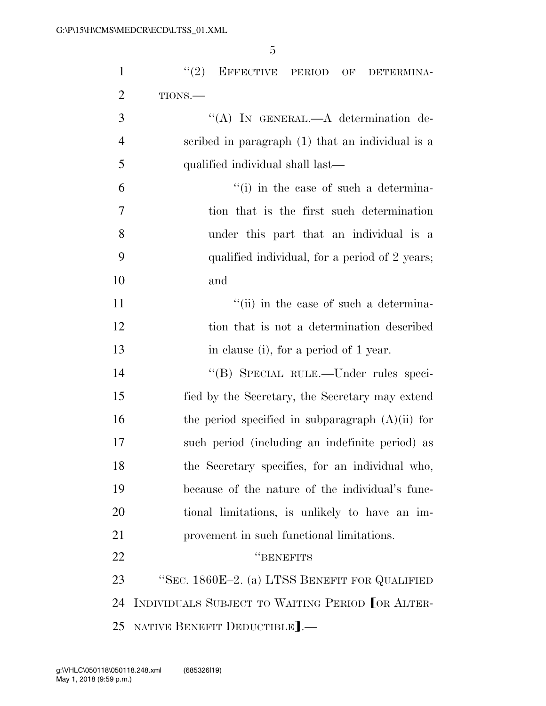| $\mathbf{1}$   | "(2) EFFECTIVE PERIOD OF DETERMINA-                |
|----------------|----------------------------------------------------|
| $\overline{2}$ | TIONS.                                             |
| 3              | "(A) IN GENERAL.—A determination de-               |
| $\overline{4}$ | scribed in paragraph (1) that an individual is a   |
| 5              | qualified individual shall last—                   |
| 6              | "(i) in the case of such a determina-              |
| 7              | tion that is the first such determination          |
| 8              | under this part that an individual is a            |
| 9              | qualified individual, for a period of 2 years;     |
| 10             | and                                                |
| 11             | "(ii) in the case of such a determina-             |
| 12             | tion that is not a determination described         |
| 13             | in clause (i), for a period of 1 year.             |
| 14             | "(B) SPECIAL RULE.—Under rules speci-              |
| 15             | fied by the Secretary, the Secretary may extend    |
| 16             | the period specified in subparagraph $(A)(ii)$ for |
| 17             | such period (including an indefinite period) as    |
| 18             | the Secretary specifies, for an individual who,    |
| 19             | because of the nature of the individual's func-    |
| 20             | tional limitations, is unlikely to have an im-     |
| 21             | provement in such functional limitations.          |
| 22             | "BENEFITS                                          |
| 23             | "SEC. 1860E-2. (a) LTSS BENEFIT FOR QUALIFIED      |
| 24             | INDIVIDUALS SUBJECT TO WAITING PERIOD OR ALTER-    |
| 25             | NATIVE BENEFIT DEDUCTIBLE].-                       |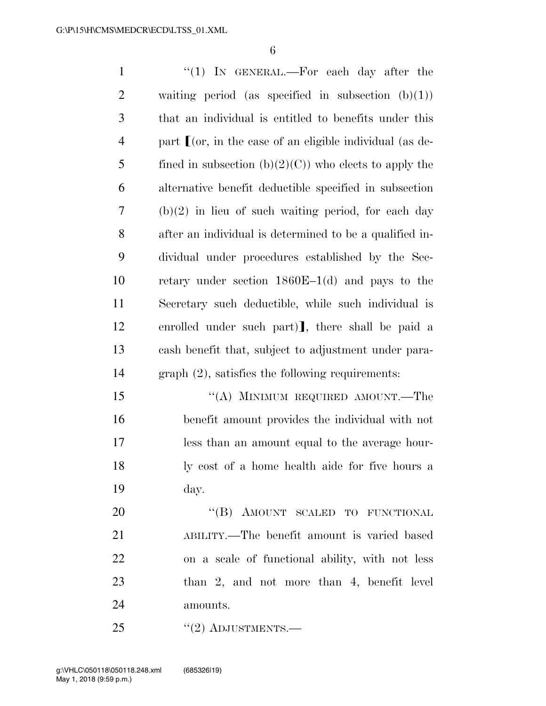| $\mathbf{1}$   | " $(1)$ IN GENERAL.—For each day after the                       |
|----------------|------------------------------------------------------------------|
| $\overline{2}$ | waiting period (as specified in subsection $(b)(1)$ )            |
| 3              | that an individual is entitled to benefits under this            |
| $\overline{4}$ | part $\Gamma$ (or, in the case of an eligible individual (as de- |
| 5              | fined in subsection $(b)(2)(C)$ who elects to apply the          |
| 6              | alternative benefit deductible specified in subsection           |
| 7              | $(b)(2)$ in lieu of such waiting period, for each day            |
| 8              | after an individual is determined to be a qualified in-          |
| 9              | dividual under procedures established by the Sec-                |
| 10             | retary under section $1860E-1(d)$ and pays to the                |
| 11             | Secretary such deductible, while such individual is              |
| 12             | enrolled under such part), there shall be paid a                 |
| 13             | cash benefit that, subject to adjustment under para-             |
| 14             | $graph (2)$ , satisfies the following requirements:              |
| 15             | "(A) MINIMUM REQUIRED AMOUNT.—The                                |
| 16             | benefit amount provides the individual with not                  |
| 17             | less than an amount equal to the average hour-                   |
| 18             | ly cost of a home health aide for five hours a                   |
| 19             | day.                                                             |
| 20             | "(B) AMOUNT SCALED TO FUNCTIONAL                                 |
| 21             | ABILITY.—The benefit amount is varied based                      |
| 22             | on a scale of functional ability, with not less                  |
| 23             | than 2, and not more than 4, benefit level                       |
| 24             | amounts.                                                         |

25 "(2) ADJUSTMENTS.—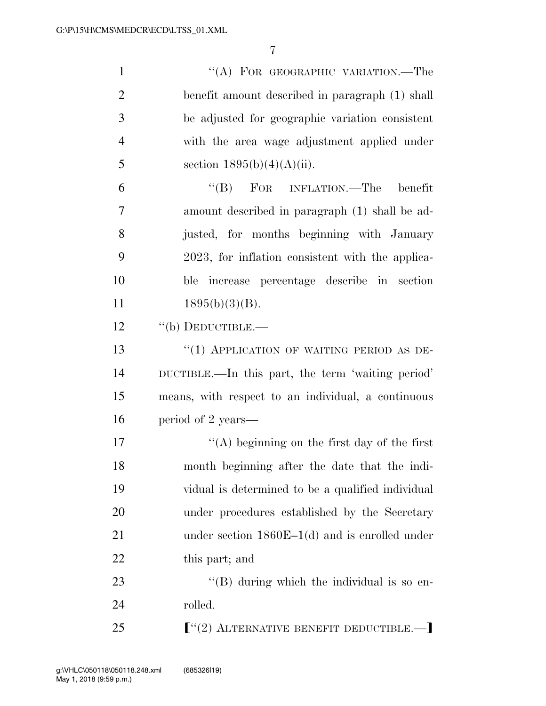1 "(A) FOR GEOGRAPHIC VARIATION.—The benefit amount described in paragraph (1) shall be adjusted for geographic variation consistent with the area wage adjustment applied under 5 section  $1895(b)(4)(A)(ii)$ . ''(B) FOR INFLATION.—The benefit amount described in paragraph (1) shall be ad- justed, for months beginning with January 2023, for inflation consistent with the applica- ble increase percentage describe in section  $1895(b)(3)(B)$ . 12 "(b) DEDUCTIBLE.— 13 "(1) APPLICATION OF WAITING PERIOD AS DE- DUCTIBLE.—In this part, the term 'waiting period' means, with respect to an individual, a continuous period of 2 years—  $\langle (A)$  beginning on the first day of the first month beginning after the date that the indi- vidual is determined to be a qualified individual under procedures established by the Secretary 21 under section 1860E–1(d) and is enrolled under 22 this part; and 23 ''(B) during which the individual is so en-24 rolled.

25 **F**"(2) ALTERNATIVE BENEFIT DEDUCTIBLE.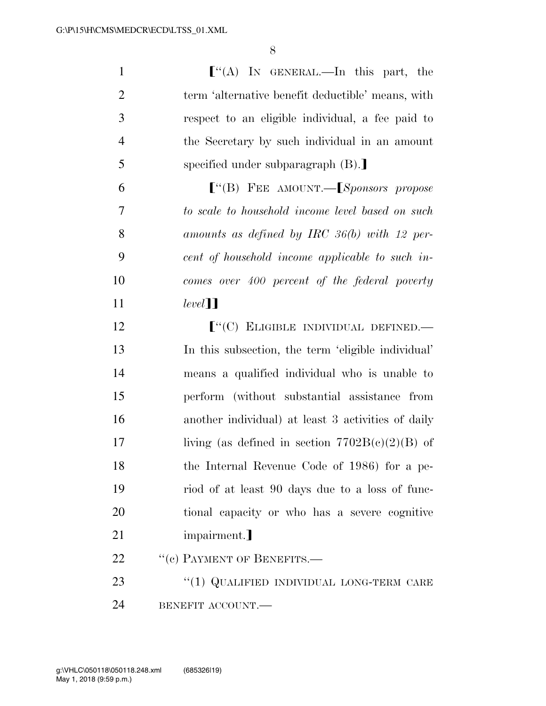| $\mathbf{1}$   | $\lfloor$ "(A) In GENERAL.—In this part, the                                                                                                                                   |
|----------------|--------------------------------------------------------------------------------------------------------------------------------------------------------------------------------|
| $\overline{2}$ | term 'alternative benefit deductible' means, with                                                                                                                              |
| 3              | respect to an eligible individual, a fee paid to                                                                                                                               |
| $\overline{4}$ | the Secretary by such individual in an amount                                                                                                                                  |
| 5              | specified under subparagraph $(B)$ .                                                                                                                                           |
| 6              | $\lbrack\!\lbrack\!\lbrack\!\lbrack\!\lbrack\!\rbrack\!\rbrack$ FEE AMOUNT.— $\lbrack\!\lbrack\!\lbrack\!\lbrack\!\lbrack\!\lbrack\!\lbrack\!\rbrack\!\rbrack$ ponsors propose |
| 7              | to scale to household income level based on such                                                                                                                               |
| 8              | amounts as defined by IRC $36(b)$ with 12 per-                                                                                                                                 |
| 9              | cent of household income applicable to such in-                                                                                                                                |
| 10             | comes over 400 percent of the federal poverty                                                                                                                                  |
| 11             | $level$ ]]                                                                                                                                                                     |
| 12             | $[$ "(C) ELIGIBLE INDIVIDUAL DEFINED.—                                                                                                                                         |
| 13             | In this subsection, the term 'eligible individual'                                                                                                                             |
| 14             | means a qualified individual who is unable to                                                                                                                                  |
| 15             | perform (without substantial assistance from                                                                                                                                   |
| 16             | another individual) at least 3 activities of daily                                                                                                                             |
| 17             | living (as defined in section $7702B(c)(2)(B)$ of                                                                                                                              |
| 18             | the Internal Revenue Code of 1986) for a pe-                                                                                                                                   |
| 19             | riod of at least 90 days due to a loss of func-                                                                                                                                |
| 20             | tional capacity or who has a severe cognitive                                                                                                                                  |
| 21             | impairment.]                                                                                                                                                                   |
| 22             | $``(e)$ PAYMENT OF BENEFITS.—                                                                                                                                                  |
| 23             | "(1) QUALIFIED INDIVIDUAL LONG-TERM CARE                                                                                                                                       |
| 24             | BENEFIT ACCOUNT.                                                                                                                                                               |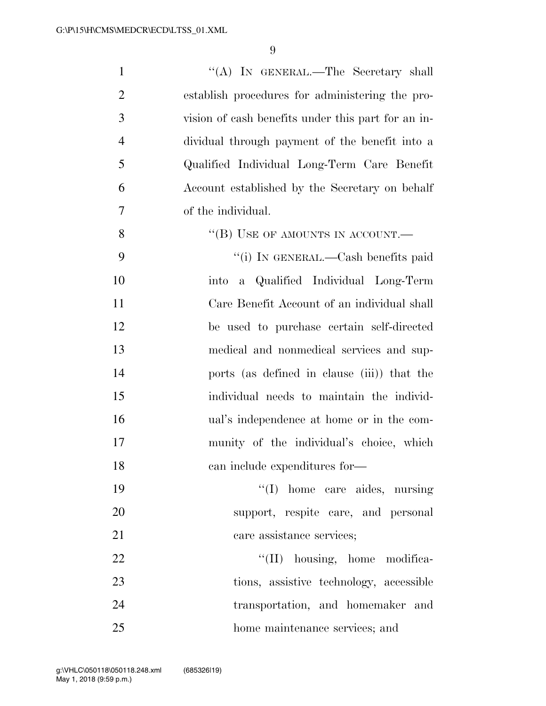| $\mathbf{1}$   | "(A) IN GENERAL.—The Secretary shall               |
|----------------|----------------------------------------------------|
| $\overline{2}$ | establish procedures for administering the pro-    |
| 3              | vision of eash benefits under this part for an in- |
| $\overline{4}$ | dividual through payment of the benefit into a     |
| 5              | Qualified Individual Long-Term Care Benefit        |
| 6              | Account established by the Secretary on behalf     |
| 7              | of the individual.                                 |
| 8              | "(B) USE OF AMOUNTS IN ACCOUNT.—                   |
| 9              | "(i) IN GENERAL.—Cash benefits paid                |
| 10             | a Qualified Individual Long-Term<br>into           |
| 11             | Care Benefit Account of an individual shall        |
| 12             | be used to purchase certain self-directed          |
| 13             | medical and nonmedical services and sup-           |
| 14             | ports (as defined in clause (iii)) that the        |
| 15             | individual needs to maintain the individ-          |
| 16             | ual's independence at home or in the com-          |
| 17             | munity of the individual's choice, which           |
| 18             | can include expenditures for-                      |
| 19             | "(I) home care aides, nursing                      |
| 20             | support, respite care, and personal                |
| 21             | care assistance services;                          |
| 22             | "(II) housing, home modifica-                      |
| 23             | tions, assistive technology, accessible            |
| 24             | transportation, and homemaker and                  |
| 25             | home maintenance services; and                     |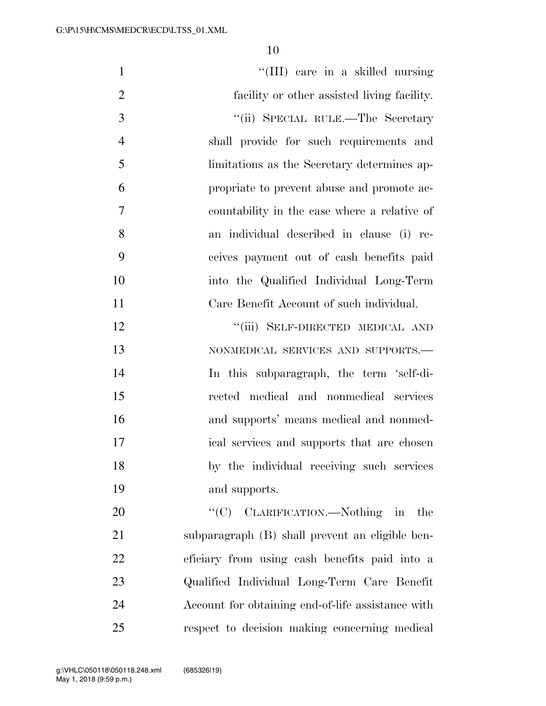| $\mathbf{1}$   | "(III) care in a skilled nursing                  |
|----------------|---------------------------------------------------|
| $\overline{2}$ | facility or other assisted living facility.       |
| 3              | "(ii) SPECIAL RULE.—The Secretary                 |
| $\overline{4}$ | shall provide for such requirements and           |
| 5              | limitations as the Secretary determines ap-       |
| 6              | propriate to prevent abuse and promote ac-        |
| 7              | countability in the case where a relative of      |
| 8              | an individual described in clause (i) re-         |
| 9              | ceives payment out of cash benefits paid          |
| 10             | into the Qualified Individual Long-Term           |
| 11             | Care Benefit Account of such individual.          |
| 12             | "(iii) SELF-DIRECTED MEDICAL AND                  |
| 13             | NONMEDICAL SERVICES AND SUPPORTS.-                |
| 14             | In this subparagraph, the term 'self-di-          |
| 15             | rected medical and nonmedical services            |
| 16             | and supports' means medical and nonmed-           |
| 17             | ical services and supports that are chosen        |
| 18             | by the individual receiving such services         |
| 19             | and supports.                                     |
| 20             | "(C) CLARIFICATION.—Nothing in<br>the             |
| 21             | subparagraph (B) shall prevent an eligible ben-   |
| $22\,$         | eficiary from using cash benefits paid into a     |
| 23             | Qualified Individual Long-Term Care Benefit       |
| 24             | Account for obtaining end-of-life assistance with |
| 25             | respect to decision making concerning medical     |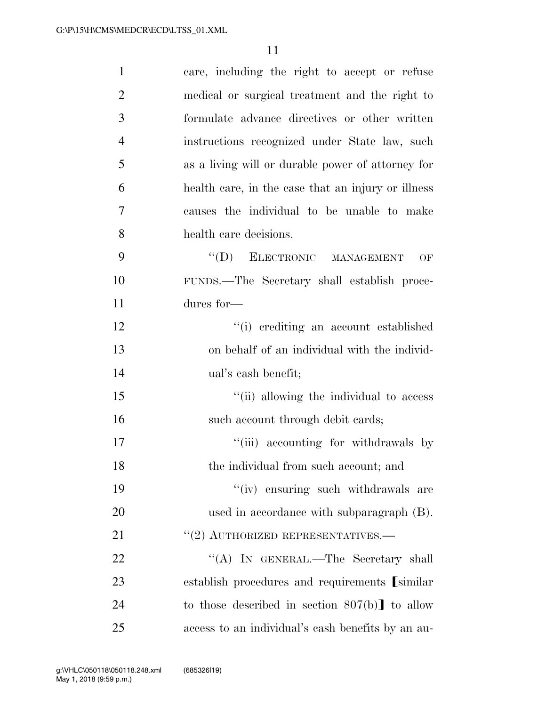| $\mathbf{1}$   | care, including the right to accept or refuse      |
|----------------|----------------------------------------------------|
| $\overline{2}$ | medical or surgical treatment and the right to     |
| 3              | formulate advance directives or other written      |
| $\overline{4}$ | instructions recognized under State law, such      |
| 5              | as a living will or durable power of attorney for  |
| 6              | health care, in the case that an injury or illness |
| 7              | causes the individual to be unable to make         |
| 8              | health care decisions.                             |
| 9              | "(D) ELECTRONIC MANAGEMENT<br>OF                   |
| 10             | FUNDS.-The Secretary shall establish proce-        |
| 11             | dures for-                                         |
| 12             | "(i) crediting an account established              |
| 13             | on behalf of an individual with the individ-       |
| 14             | ual's cash benefit;                                |
| 15             | "(ii) allowing the individual to access            |
| 16             | such account through debit cards;                  |
| 17             | "(iii) accounting for withdrawals by               |
| 18             | the individual from such account; and              |
| 19             | "(iv) ensuring such withdrawals are                |
| 20             | used in accordance with subparagraph (B).          |
| 21             | $"(2)$ AUTHORIZED REPRESENTATIVES.—                |
| 22             | "(A) IN GENERAL.—The Secretary shall               |
| 23             | establish procedures and requirements [similar]    |
| 24             | to those described in section $807(b)$ to allow    |
| 25             | access to an individual's cash benefits by an au-  |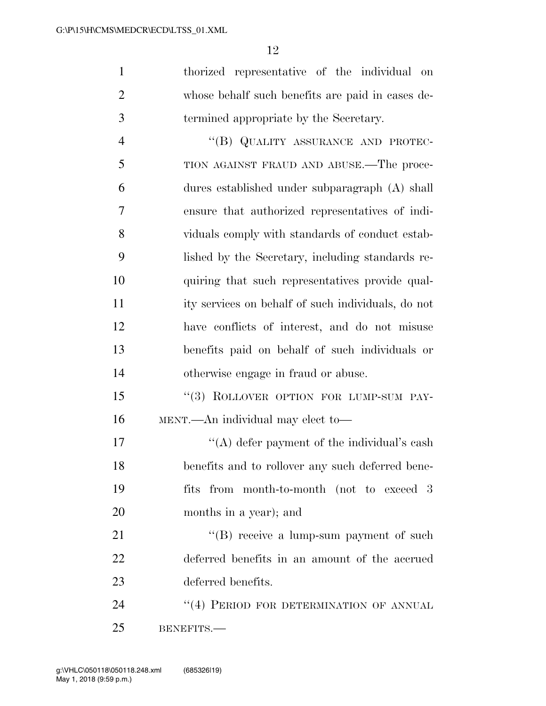thorized representative of the individual on whose behalf such benefits are paid in cases de-termined appropriate by the Secretary.

4 "(B) QUALITY ASSURANCE AND PROTEC- TION AGAINST FRAUD AND ABUSE.—The proce- dures established under subparagraph (A) shall ensure that authorized representatives of indi- viduals comply with standards of conduct estab- lished by the Secretary, including standards re- quiring that such representatives provide qual- ity services on behalf of such individuals, do not have conflicts of interest, and do not misuse benefits paid on behalf of such individuals or otherwise engage in fraud or abuse.

15 "(3) ROLLOVER OPTION FOR LUMP-SUM PAY-MENT.—An individual may elect to—

 $\mathcal{L}(\mathbf{A})$  defer payment of the individual's cash benefits and to rollover any such deferred bene- fits from month-to-month (not to exceed 3 months in a year); and

21 "(B) receive a lump-sum payment of such deferred benefits in an amount of the accrued deferred benefits.

24 "(4) PERIOD FOR DETERMINATION OF ANNUAL BENEFITS.—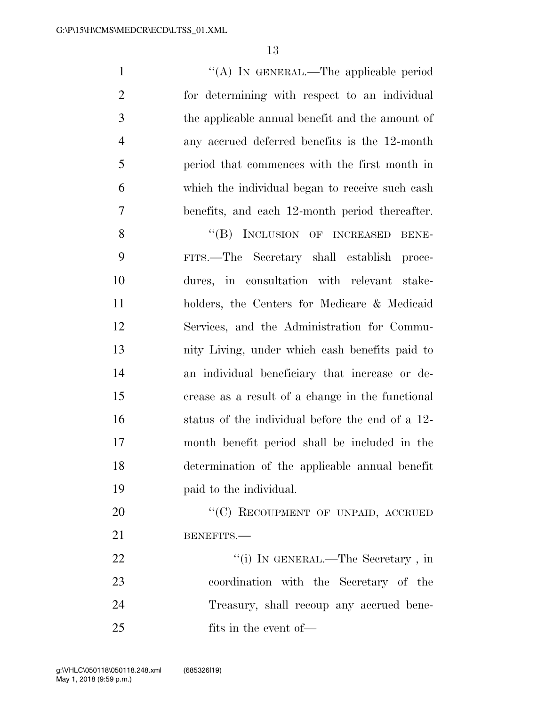1 "(A) In GENERAL.—The applicable period for determining with respect to an individual the applicable annual benefit and the amount of any accrued deferred benefits is the 12-month period that commences with the first month in which the individual began to receive such cash benefits, and each 12-month period thereafter.

8 "(B) INCLUSION OF INCREASED BENE- FITS.—The Secretary shall establish proce- dures, in consultation with relevant stake- holders, the Centers for Medicare & Medicaid Services, and the Administration for Commu- nity Living, under which cash benefits paid to an individual beneficiary that increase or de- crease as a result of a change in the functional status of the individual before the end of a 12- month benefit period shall be included in the determination of the applicable annual benefit paid to the individual.

20 "(C) RECOUPMENT OF UNPAID, ACCRUED 21 BENEFITS.—

22 "'(i) IN GENERAL.—The Secretary, in coordination with the Secretary of the Treasury, shall recoup any accrued bene-25 fits in the event of —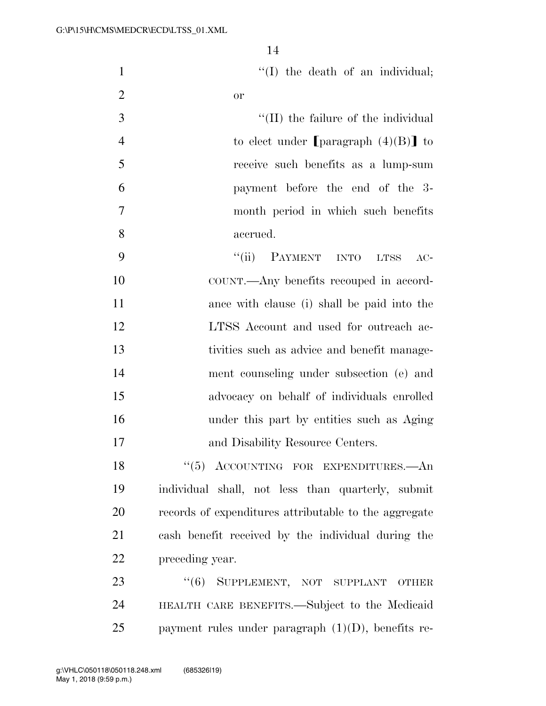| $\mathbf{1}$   | "(I) the death of an individual;                      |
|----------------|-------------------------------------------------------|
| $\overline{2}$ | <b>or</b>                                             |
| 3              | "(II) the failure of the individual                   |
| $\overline{4}$ | to elect under [paragraph $(4)(B)$ ] to               |
| 5              | receive such benefits as a lump-sum                   |
| 6              | payment before the end of the 3-                      |
| $\tau$         | month period in which such benefits                   |
| 8              | accrued.                                              |
| 9              | "(ii) PAYMENT INTO LTSS<br>$AC-$                      |
| 10             | COUNT.—Any benefits recouped in accord-               |
| 11             | ance with clause (i) shall be paid into the           |
| 12             | LTSS Account and used for outreach ac-                |
| 13             | tivities such as advice and benefit manage-           |
| 14             | ment counseling under subsection (e) and              |
| 15             | advocacy on behalf of individuals enrolled            |
| 16             | under this part by entities such as Aging             |
| 17             | and Disability Resource Centers.                      |
| 18             | "(5) ACCOUNTING FOR EXPENDITURES.—An                  |
| 19             | individual shall, not less than quarterly, submit     |
| 20             | records of expenditures attributable to the aggregate |
| 21             | cash benefit received by the individual during the    |
| 22             | preceding year.                                       |
| 23             | "(6) SUPPLEMENT, NOT SUPPLANT OTHER                   |
| 24             | HEALTH CARE BENEFITS.—Subject to the Medicaid         |
| 25             | payment rules under paragraph $(1)(D)$ , benefits re- |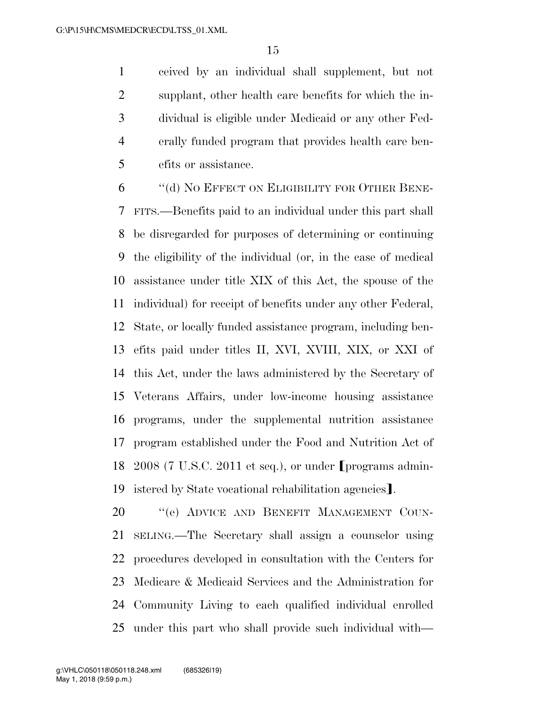ceived by an individual shall supplement, but not supplant, other health care benefits for which the in- dividual is eligible under Medicaid or any other Fed- erally funded program that provides health care ben-efits or assistance.

 ''(d) NO EFFECT ON ELIGIBILITY FOR OTHER BENE- FITS.—Benefits paid to an individual under this part shall be disregarded for purposes of determining or continuing the eligibility of the individual (or, in the case of medical assistance under title XIX of this Act, the spouse of the individual) for receipt of benefits under any other Federal, State, or locally funded assistance program, including ben- efits paid under titles II, XVI, XVIII, XIX, or XXI of this Act, under the laws administered by the Secretary of Veterans Affairs, under low-income housing assistance programs, under the supplemental nutrition assistance program established under the Food and Nutrition Act of 18 2008 (7 U.S.C. 2011 et seq.), or under [programs admin-19 istered by State vocational rehabilitation agencies.

20 "(e) ADVICE AND BENEFIT MANAGEMENT COUN- SELING.—The Secretary shall assign a counselor using procedures developed in consultation with the Centers for Medicare & Medicaid Services and the Administration for Community Living to each qualified individual enrolled under this part who shall provide such individual with—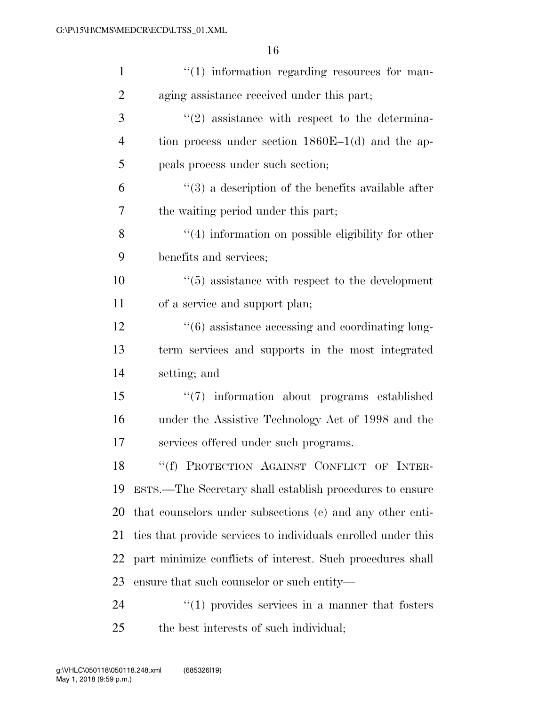| $\mathbf{1}$   | $\lq(1)$ information regarding resources for man-                |
|----------------|------------------------------------------------------------------|
| $\overline{2}$ | aging assistance received under this part;                       |
| 3              | $\lq(2)$ assistance with respect to the determina-               |
| $\overline{4}$ | tion process under section $1860E-1(d)$ and the ap-              |
| 5              | peals process under such section;                                |
| 6              | $\lq(3)$ a description of the benefits available after           |
| 7              | the waiting period under this part;                              |
| 8              | $\lq(4)$ information on possible eligibility for other           |
| 9              | benefits and services;                                           |
| 10             | $\cdot\cdot$ (5) assistance with respect to the development      |
| 11             | of a service and support plan;                                   |
| 12             | $\cdot\cdot\cdot(6)$ assistance accessing and coordinating long- |
| 13             | term services and supports in the most integrated                |
| 14             | setting; and                                                     |
| 15             | "(7) information about programs established                      |
| 16             | under the Assistive Technology Act of 1998 and the               |
| 17             | services offered under such programs.                            |
| 18             | "(f) PROTECTION AGAINST CONFLICT OF INTER-                       |
| 19             | ESTS.—The Secretary shall establish procedures to ensure         |
| 20             | that counselors under subsections (e) and any other enti-        |
| 21             | ties that provide services to individuals enrolled under this    |
| 22             | part minimize conflicts of interest. Such procedures shall       |
| 23             | ensure that such counselor or such entity—                       |
| 24             | $\lq(1)$ provides services in a manner that fosters              |
| 25             | the best interests of such individual;                           |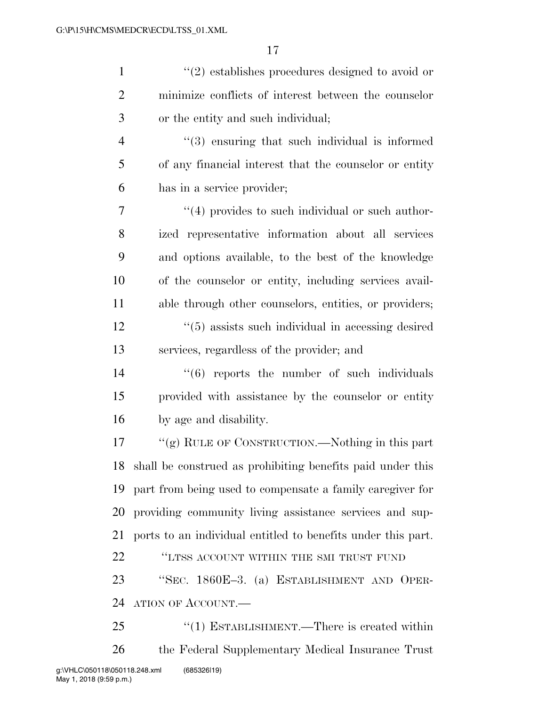| $\mathbf{1}$   | $\lq(2)$ establishes procedures designed to avoid or          |
|----------------|---------------------------------------------------------------|
| $\overline{2}$ | minimize conflicts of interest between the counselor          |
| 3              | or the entity and such individual;                            |
| $\overline{4}$ | $(3)$ ensuring that such individual is informed               |
| 5              | of any financial interest that the counselor or entity        |
| 6              | has in a service provider;                                    |
| 7              | $\lq(4)$ provides to such individual or such author-          |
| 8              | ized representative information about all services            |
| 9              | and options available, to the best of the knowledge           |
| 10             | of the counselor or entity, including services avail-         |
| 11             | able through other counselors, entities, or providers;        |
| 12             | $\cdot\cdot$ (5) assists such individual in accessing desired |
| 13             | services, regardless of the provider; and                     |
| 14             | $\cdot\cdot\cdot(6)$ reports the number of such individuals   |
| 15             | provided with assistance by the counselor or entity           |
| 16             | by age and disability.                                        |
| 17             | "(g) RULE OF CONSTRUCTION.—Nothing in this part               |
| 18             | shall be construed as prohibiting benefits paid under this    |
| 19             | part from being used to compensate a family caregiver for     |
| 20             | providing community living assistance services and sup-       |
| 21             | ports to an individual entitled to benefits under this part.  |
| 22             | "LTSS ACCOUNT WITHIN THE SMI TRUST FUND                       |
| 23             | "SEC. 1860E-3. (a) ESTABLISHMENT AND OPER-                    |
| 24             | ATION OF ACCOUNT.—                                            |
| 25             | "(1) ESTABLISHMENT.—There is created within                   |
| 26             | the Federal Supplementary Medical Insurance Trust             |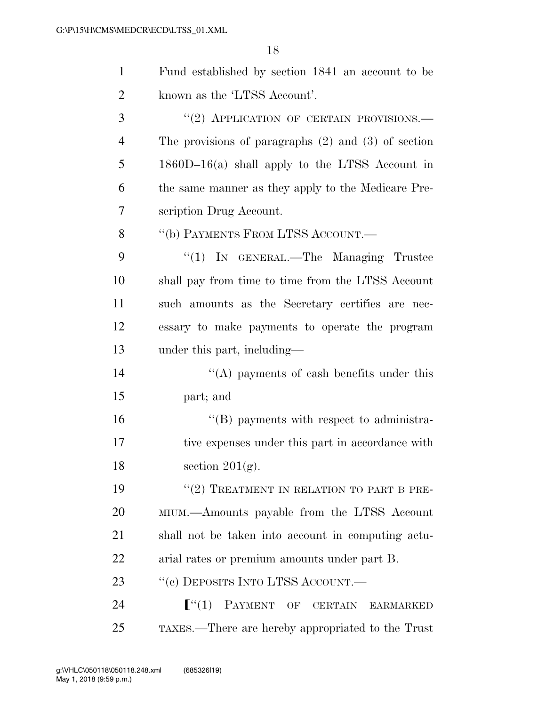| $\mathbf{1}$ | Fund established by section 1841 an account to be                      |
|--------------|------------------------------------------------------------------------|
| 2            | known as the 'LTSS Account'.                                           |
| 3            | "(2) APPLICATION OF CERTAIN PROVISIONS.-                               |
| 4            | The provisions of paragraphs $(2)$ and $(3)$ of section                |
| 5            | $1860D-16(a)$ shall apply to the LTSS Account in                       |
| 6            | the same manner as they apply to the Medicare Pre-                     |
| 7            | scription Drug Account.                                                |
| 8            | "(b) PAYMENTS FROM LTSS ACCOUNT.—                                      |
| 9            | " $(1)$ IN GENERAL.—The Managing Trustee                               |
| 10           | shall pay from time to time from the LTSS Account                      |
| 11           | such amounts as the Secretary certifies are nec-                       |
| 12           | essary to make payments to operate the program                         |
| 13           | under this part, including—                                            |
| 14           | "(A) payments of eash benefits under this                              |
| 15           | part; and                                                              |
| 16           | "(B) payments with respect to administra-                              |
| 17           | tive expenses under this part in accordance with                       |
| 18           | section $201(g)$ .                                                     |
| 19           | $``(2)$ TREATMENT IN RELATION TO PART B PRE-                           |
| 20           | MIUM.—Amounts payable from the LTSS Account                            |
| 21           | shall not be taken into account in computing actu-                     |
| 22           | arial rates or premium amounts under part B.                           |
| 23           | "(c) DEPOSITS INTO LTSS ACCOUNT.—                                      |
| 24           | $\lceil$ <sup>"</sup> (1)<br><b>PAYMENT</b><br>OF CERTAIN<br>EARMARKED |
| 25           | TAXES.—There are hereby appropriated to the Trust                      |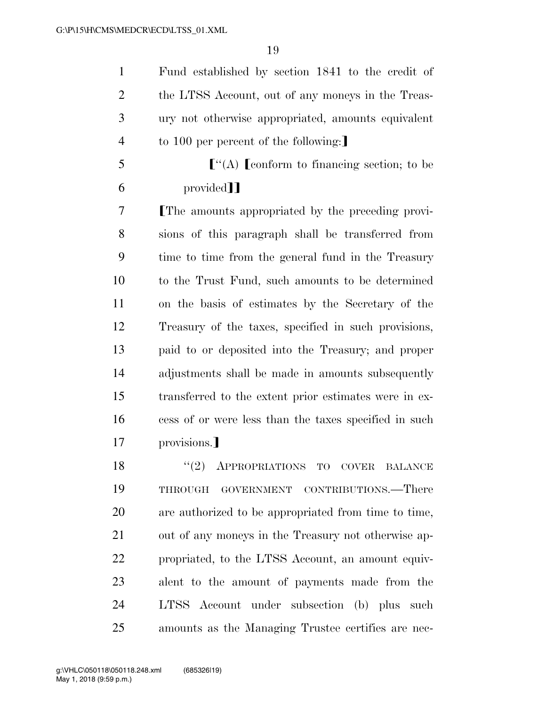Fund established by section 1841 to the credit of 2 the LTSS Account, out of any moneys in the Treas- ury not otherwise appropriated, amounts equivalent 4 to 100 per percent of the following:

 $\mathfrak{g}^{\prime\prime}(\mathbf{A})$  [conform to financing section; to be 6 provided<sup>]</sup>

**The amounts appropriated by the preceding provi-** sions of this paragraph shall be transferred from time to time from the general fund in the Treasury to the Trust Fund, such amounts to be determined on the basis of estimates by the Secretary of the Treasury of the taxes, specified in such provisions, paid to or deposited into the Treasury; and proper adjustments shall be made in amounts subsequently transferred to the extent prior estimates were in ex- cess of or were less than the taxes specified in such 17 provisions.

18 "(2) APPROPRIATIONS TO COVER BALANCE THROUGH GOVERNMENT CONTRIBUTIONS.—There are authorized to be appropriated from time to time, out of any moneys in the Treasury not otherwise ap- propriated, to the LTSS Account, an amount equiv- alent to the amount of payments made from the LTSS Account under subsection (b) plus such amounts as the Managing Trustee certifies are nec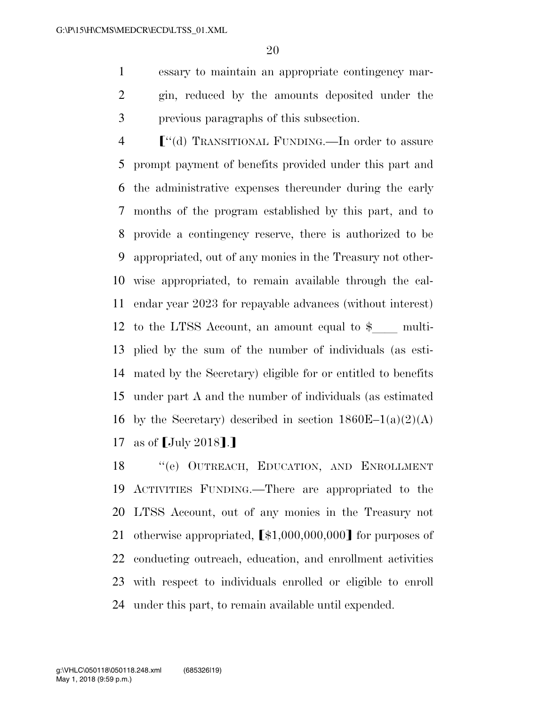essary to maintain an appropriate contingency mar- gin, reduced by the amounts deposited under the previous paragraphs of this subsection.

 $\lceil$  "(d) TRANSITIONAL FUNDING.—In order to assure prompt payment of benefits provided under this part and the administrative expenses thereunder during the early months of the program established by this part, and to provide a contingency reserve, there is authorized to be appropriated, out of any monies in the Treasury not other- wise appropriated, to remain available through the cal- endar year 2023 for repayable advances (without interest) 12 to the LTSS Account, an amount equal to  $\frac{1}{2}$  multi- plied by the sum of the number of individuals (as esti- mated by the Secretary) eligible for or entitled to benefits under part A and the number of individuals (as estimated 16 by the Secretary) described in section  $1860E-1(a)(2)(A)$ 17 as of  $\lceil \text{July } 2018 \rceil$ .

 ''(e) OUTREACH, EDUCATION, AND ENROLLMENT ACTIVITIES FUNDING.—There are appropriated to the LTSS Account, out of any monies in the Treasury not 21 otherwise appropriated,  $\lceil $1,000,000,000 \rceil$  for purposes of conducting outreach, education, and enrollment activities with respect to individuals enrolled or eligible to enroll under this part, to remain available until expended.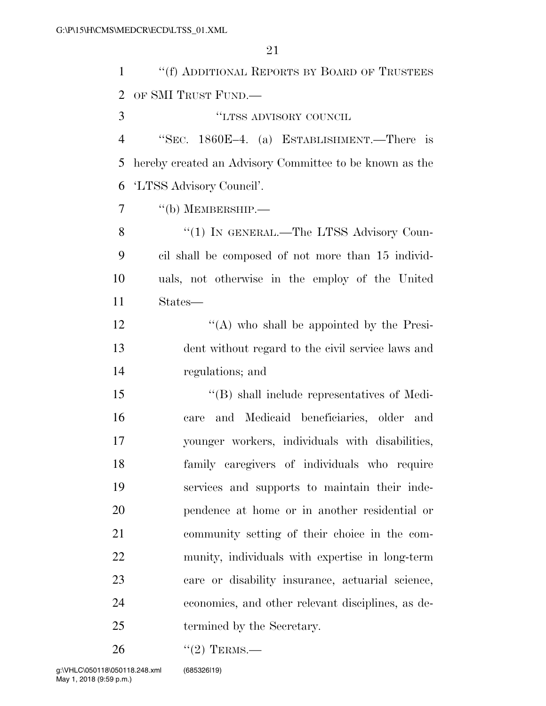| $\mathbf{1}$   | "(f) ADDITIONAL REPORTS BY BOARD OF TRUSTEES            |
|----------------|---------------------------------------------------------|
| $\overline{2}$ | OF SMI TRUST FUND.                                      |
| 3              | "LTSS ADVISORY COUNCIL                                  |
| $\overline{4}$ | "SEC. 1860E-4. (a) ESTABLISHMENT.—There is              |
| 5              | hereby created an Advisory Committee to be known as the |
| 6              | 'LTSS Advisory Council'.                                |
| 7              | $``$ (b) MEMBERSHIP.—                                   |
| 8              | "(1) IN GENERAL.—The LTSS Advisory Coun-                |
| 9              | cil shall be composed of not more than 15 individ-      |
| 10             | uals, not otherwise in the employ of the United         |
| 11             | States—                                                 |
| 12             | "(A) who shall be appointed by the Presi-               |
| 13             | dent without regard to the civil service laws and       |
| 14             | regulations; and                                        |
| 15             | $\lq\lq$ Shall include representatives of Medi-         |
| 16             | and Medicaid beneficiaries, older and<br>care           |
| 17             | younger workers, individuals with disabilities,         |
| 18             | family caregivers of individuals who require            |
| 19             | services and supports to maintain their inde-           |
| 20             | pendence at home or in another residential or           |
| 21             | community setting of their choice in the com-           |
| 22             | munity, individuals with expertise in long-term         |
| 23             | care or disability insurance, actuarial science,        |
| 24             | economics, and other relevant disciplines, as de-       |
| 25             | termined by the Secretary.                              |
|                |                                                         |

26 "(2) TERMS.—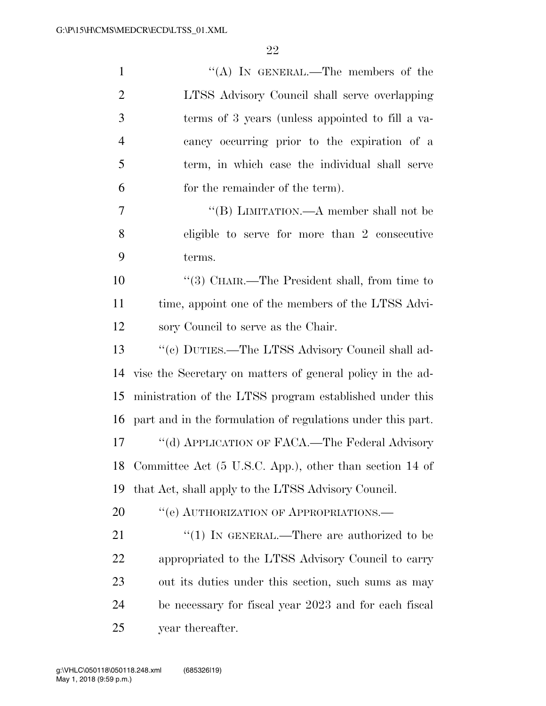| $\mathbf{1}$   | "(A) IN GENERAL.—The members of the                         |
|----------------|-------------------------------------------------------------|
| $\overline{2}$ | LTSS Advisory Council shall serve overlapping               |
| 3              | terms of 3 years (unless appointed to fill a va-            |
| $\overline{4}$ | cancy occurring prior to the expiration of a                |
| 5              | term, in which case the individual shall serve              |
| 6              | for the remainder of the term).                             |
| 7              | "(B) LIMITATION.—A member shall not be                      |
| 8              | eligible to serve for more than 2 consecutive               |
| 9              | terms.                                                      |
| 10             | "(3) CHAIR.—The President shall, from time to               |
| 11             | time, appoint one of the members of the LTSS Advi-          |
| 12             | sory Council to serve as the Chair.                         |
| 13             | "(c) DUTIES.—The LTSS Advisory Council shall ad-            |
| 14             | vise the Secretary on matters of general policy in the ad-  |
| 15             | ministration of the LTSS program established under this     |
| 16             | part and in the formulation of regulations under this part. |
| 17             | "(d) APPLICATION OF FACA.—The Federal Advisory              |
| 18             | Committee Act (5 U.S.C. App.), other than section 14 of     |
| 19             | that Act, shall apply to the LTSS Advisory Council.         |
| 20             | "(e) AUTHORIZATION OF APPROPRIATIONS.—                      |
| 21             | "(1) IN GENERAL.—There are authorized to be                 |
| 22             | appropriated to the LTSS Advisory Council to carry          |
| 23             | out its duties under this section, such sums as may         |
| 24             | be necessary for fiscal year 2023 and for each fiscal       |
| 25             | year thereafter.                                            |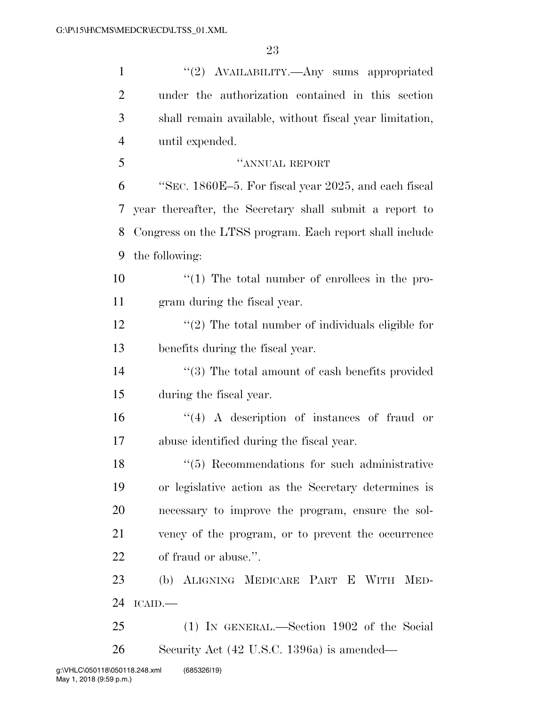| $\mathbf{1}$   | "(2) AVAILABILITY.—Any sums appropriated                         |
|----------------|------------------------------------------------------------------|
| $\overline{2}$ | under the authorization contained in this section                |
| 3              | shall remain available, without fiscal year limitation,          |
| $\overline{4}$ | until expended.                                                  |
| 5              | "ANNUAL REPORT                                                   |
| 6              | "SEC. 1860E-5. For fiscal year 2025, and each fiscal             |
| 7              | year thereafter, the Secretary shall submit a report to          |
| 8              | Congress on the LTSS program. Each report shall include          |
| 9              | the following:                                                   |
| 10             | $\lq(1)$ The total number of enrollees in the pro-               |
| 11             | gram during the fiscal year.                                     |
| 12             | $\lq(2)$ The total number of individuals eligible for            |
| 13             | benefits during the fiscal year.                                 |
| 14             | $\cdot\cdot$ (3) The total amount of eash benefits provided      |
| 15             | during the fiscal year.                                          |
| 16             | $\lq(4)$ A description of instances of fraud or                  |
| 17             | abuse identified during the fiscal year.                         |
| 18             | $(5)$ Recommendations for such administrative                    |
| 19             | or legislative action as the Secretary determines is             |
| 20             | necessary to improve the program, ensure the sol-                |
| 21             | vency of the program, or to prevent the occurrence               |
| 22             | of fraud or abuse.".                                             |
| 23             | (b) ALIGNING MEDICARE PART E WITH<br>$\mathop{\rm MED}\nolimits$ |
| 24             | ICAID.                                                           |
| 25             | (1) IN GENERAL.—Section 1902 of the Social                       |
| 26             | Security Act (42 U.S.C. 1396a) is amended—                       |
|                |                                                                  |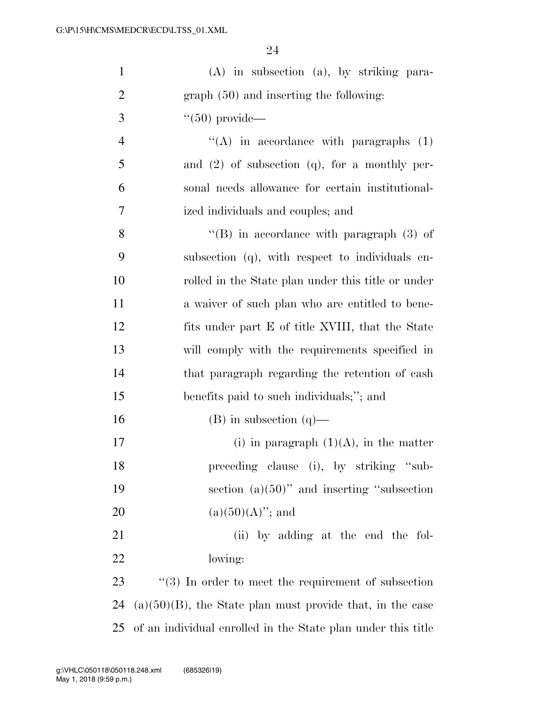| $\mathbf{1}$   | $(A)$ in subsection $(a)$ , by striking para-                |
|----------------|--------------------------------------------------------------|
| $\overline{2}$ | $graph(50)$ and inserting the following:                     |
| 3              | $\degree$ (50) provide—                                      |
| $\overline{4}$ | $\lq\lq$ in accordance with paragraphs (1)                   |
| 5              | and $(2)$ of subsection $(q)$ , for a monthly per-           |
| 6              | sonal needs allowance for certain institutional-             |
| $\tau$         | ized individuals and couples; and                            |
| 8              | $\lq\lq$ (B) in accordance with paragraph (3) of             |
| 9              | subsection (q), with respect to individuals en-              |
| 10             | rolled in the State plan under this title or under           |
| 11             | a waiver of such plan who are entitled to be e-              |
| 12             | fits under part E of title XVIII, that the State             |
| 13             | will comply with the requirements specified in               |
| 14             | that paragraph regarding the retention of cash               |
| 15             | benefits paid to such individuals;"; and                     |
| 16             | $(B)$ in subsection $(q)$ —                                  |
| 17             | (i) in paragraph $(1)(A)$ , in the matter                    |
| 18             | preceding clause (i), by striking "sub-                      |
| 19             | section $(a)(50)$ " and inserting "subsection"               |
| 20             | $(a)(50)(A)$ "; and                                          |
| 21             | (ii) by adding at the end the fol-                           |
| 22             | lowing:                                                      |
| 23             | $\lq(3)$ In order to meet the requirement of subsection      |
| 24             | $(a)(50)(B)$ , the State plan must provide that, in the case |
| 25             | of an individual enrolled in the State plan under this title |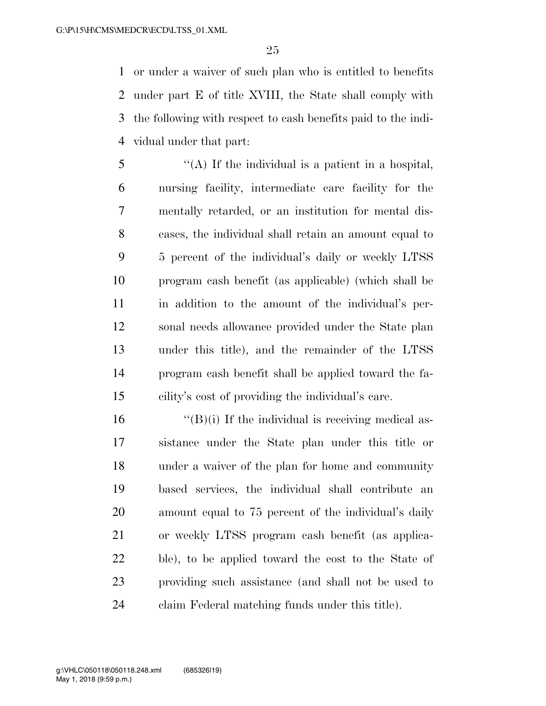or under a waiver of such plan who is entitled to benefits under part E of title XVIII, the State shall comply with the following with respect to cash benefits paid to the indi-vidual under that part:

 ''(A) If the individual is a patient in a hospital, nursing facility, intermediate care facility for the mentally retarded, or an institution for mental dis- eases, the individual shall retain an amount equal to 5 percent of the individual's daily or weekly LTSS program cash benefit (as applicable) (which shall be in addition to the amount of the individual's per- sonal needs allowance provided under the State plan under this title), and the remainder of the LTSS program cash benefit shall be applied toward the fa-cility's cost of providing the individual's care.

 $"({\rm B})$ (i) If the individual is receiving medical as- sistance under the State plan under this title or under a waiver of the plan for home and community based services, the individual shall contribute an amount equal to 75 percent of the individual's daily or weekly LTSS program cash benefit (as applica- ble), to be applied toward the cost to the State of providing such assistance (and shall not be used to claim Federal matching funds under this title).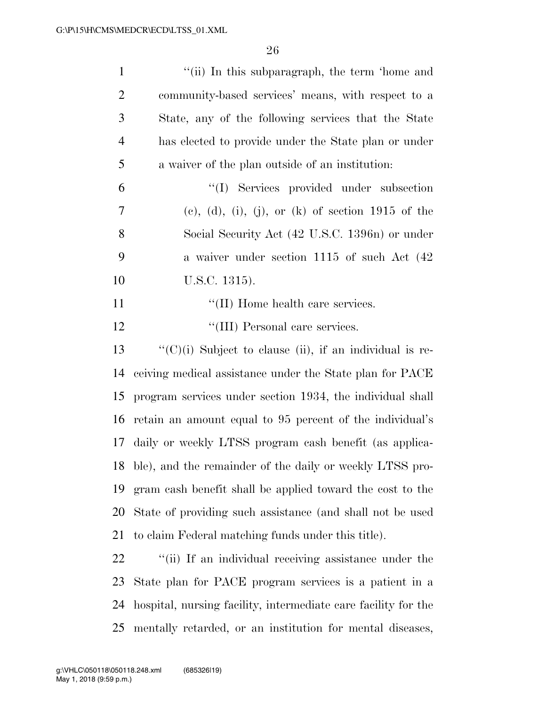| $\mathbf{1}$   | "(ii) In this subparagraph, the term 'home and                  |
|----------------|-----------------------------------------------------------------|
| $\overline{2}$ | community-based services' means, with respect to a              |
| 3              | State, any of the following services that the State             |
| $\overline{4}$ | has elected to provide under the State plan or under            |
| 5              | a waiver of the plan outside of an institution.                 |
| 6              | "(I) Services provided under subsection                         |
| 7              | $(e)$ , (d), (i), (j), or (k) of section 1915 of the            |
| 8              | Social Security Act (42 U.S.C. 1396n) or under                  |
| 9              | a waiver under section 1115 of such Act (42)                    |
| 10             | U.S.C. 1315).                                                   |
| 11             | "(II) Home health care services.                                |
| 12             | "(III) Personal care services.                                  |
| 13             | $\lq\lq$ (C)(i) Subject to clause (ii), if an individual is re- |
| 14             | ceiving medical assistance under the State plan for PACE        |
| 15             | program services under section 1934, the individual shall       |
| 16             | retain an amount equal to 95 percent of the individual's        |
| 17             | daily or weekly LTSS program cash benefit (as applica-          |
| 18             | ble), and the remainder of the daily or weekly LTSS pro-        |
| 19             | gram cash benefit shall be applied toward the cost to the       |
| 20             | State of providing such assistance (and shall not be used       |
| 21             | to claim Federal matching funds under this title).              |
| 22             | "(ii) If an individual receiving assistance under the           |
| 23             | State plan for PACE program services is a patient in a          |
| 24             | hospital, nursing facility, intermediate care facility for the  |
|                |                                                                 |

mentally retarded, or an institution for mental diseases,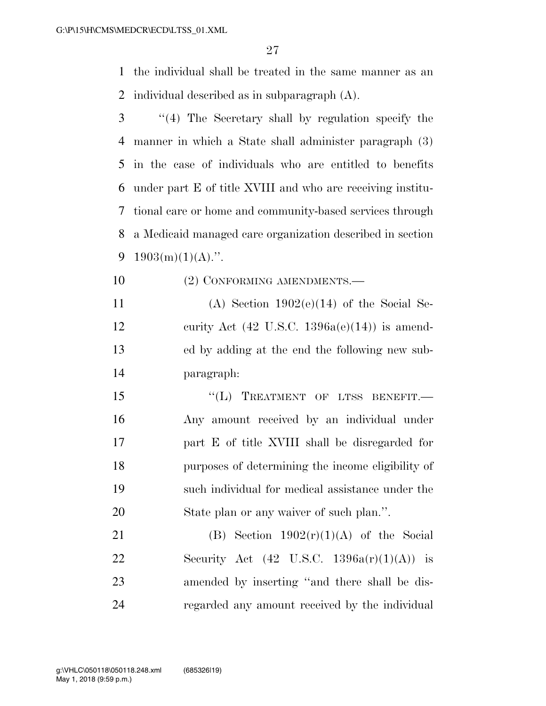the individual shall be treated in the same manner as an individual described as in subparagraph (A).

- ''(4) The Secretary shall by regulation specify the manner in which a State shall administer paragraph (3) in the case of individuals who are entitled to benefits under part E of title XVIII and who are receiving institu- tional care or home and community-based services through a Medicaid managed care organization described in section 9 1903(m)(1)(A).".
- 10 (2) CONFORMING AMENDMENTS.—
- 11 (A) Section  $1902(e)(14)$  of the Social Se-12 curity Act  $(42 \text{ U.S.C. } 1396a(e)(14))$  is amend- ed by adding at the end the following new sub-paragraph:
- 15 "(L) TREATMENT OF LTSS BENEFIT.— Any amount received by an individual under part E of title XVIII shall be disregarded for purposes of determining the income eligibility of such individual for medical assistance under the State plan or any waiver of such plan.''.

21 (B) Section  $1902(r)(1)(A)$  of the Social 22 Security Act  $(42 \text{ U.S.C. } 1396a(r)(1)(A))$  is amended by inserting ''and there shall be dis-regarded any amount received by the individual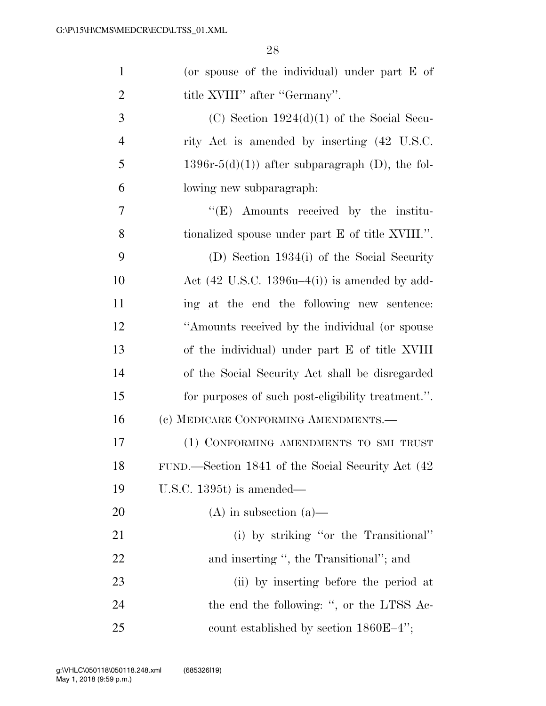| $\mathbf{1}$   | (or spouse of the individual) under part $E$ of          |
|----------------|----------------------------------------------------------|
| $\overline{2}$ | title XVIII" after "Germany".                            |
| 3              | (C) Section $1924(d)(1)$ of the Social Secu-             |
| $\overline{4}$ | rity Act is amended by inserting (42 U.S.C.              |
| 5              | $1396r-5(d)(1)$ after subparagraph (D), the fol-         |
| 6              | lowing new subparagraph:                                 |
| 7              | $\lq\lq(E)$ Amounts received by the institu-             |
| 8              | tionalized spouse under part E of title XVIII.".         |
| 9              | (D) Section 1934(i) of the Social Security               |
| 10             | Act $(42 \text{ U.S.C. } 1396u-4(i))$ is amended by add- |
| 11             | ing at the end the following new sentence:               |
| 12             | "Amounts received by the individual (or spouse           |
| 13             | of the individual) under part E of title XVIII           |
| 14             | of the Social Security Act shall be disregarded          |
| 15             | for purposes of such post-eligibility treatment.".       |
| 16             | (c) MEDICARE CONFORMING AMENDMENTS.—                     |
| 17             | (1) CONFORMING AMENDMENTS TO SMI TRUST                   |
| 18             | FUND.—Section 1841 of the Social Security Act (42        |
| 19             | U.S.C. $1395t$ is amended—                               |
| <b>20</b>      | $(A)$ in subsection $(a)$ —                              |
| 21             | (i) by striking "or the Transitional"                    |
| 22             | and inserting ", the Transitional"; and                  |
| 23             | (ii) by inserting before the period at                   |
| 24             | the end the following: ", or the LTSS Ac-                |
| 25             | count established by section $1860E-4$ ";                |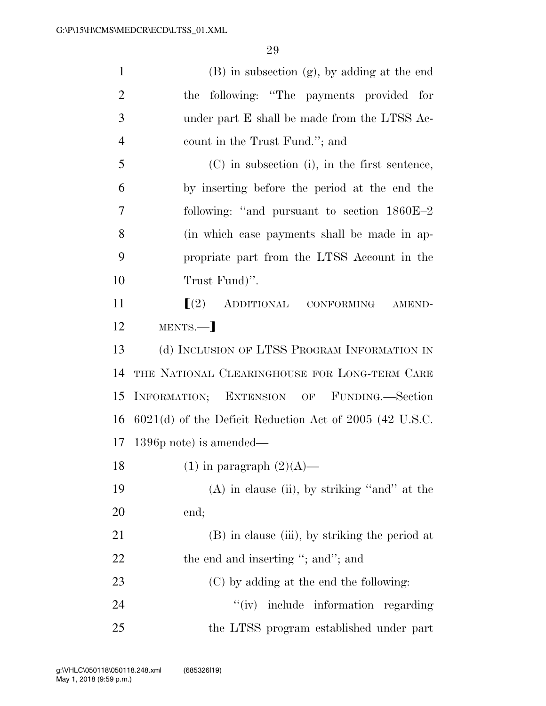(B) in subsection (g), by adding at the end the following: ''The payments provided for under part E shall be made from the LTSS Ac- count in the Trust Fund.''; and (C) in subsection (i), in the first sentence, by inserting before the period at the end the following: ''and pursuant to section 1860E–2 (in which case payments shall be made in ap- propriate part from the LTSS Account in the Trust Fund)''.  $\left[ \begin{array}{ccc} (2) & \text{ADDITIONAL} & \text{CONFORMING} & \text{AMEND} \end{array} \right]$ 12 MENTS.— (d) INCLUSION OF LTSS PROGRAM INFORMATION IN THE NATIONAL CLEARINGHOUSE FOR LONG-TERM CARE INFORMATION; EXTENSION OF FUNDING.—Section 6021(d) of the Deficit Reduction Act of 2005 (42 U.S.C. 1396p note) is amended— 18 (1) in paragraph  $(2)(A)$ — (A) in clause (ii), by striking ''and'' at the end; (B) in clause (iii), by striking the period at 22 the end and inserting "; and"; and (C) by adding at the end the following: 24 ''(iv) include information regarding the LTSS program established under part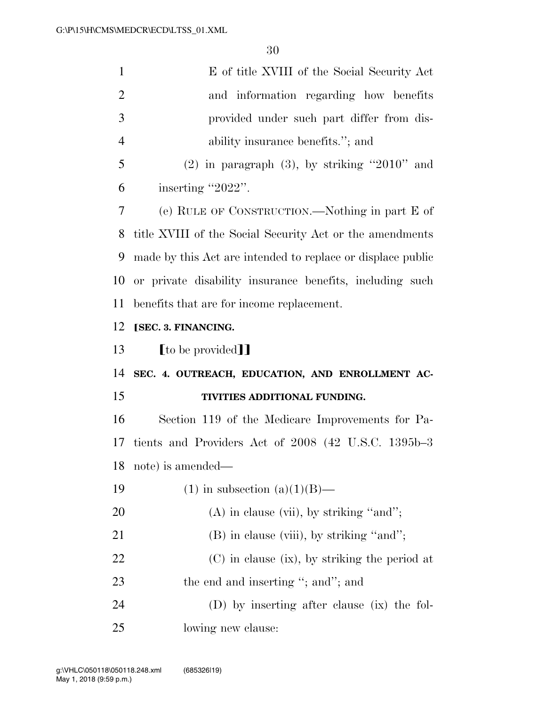| $\mathbf{1}$   | E of title XVIII of the Social Security Act                 |
|----------------|-------------------------------------------------------------|
| $\overline{2}$ | and information regarding how benefits                      |
| 3              | provided under such part differ from dis-                   |
| $\overline{4}$ | ability insurance benefits."; and                           |
| 5              | $(2)$ in paragraph $(3)$ , by striking "2010" and           |
| 6              | inserting "2022".                                           |
| 7              | (e) RULE OF CONSTRUCTION.—Nothing in part E of              |
| 8              | title XVIII of the Social Security Act or the amendments    |
| 9              | made by this Act are intended to replace or displace public |
| 10             | or private disability insurance benefits, including such    |
| 11             | benefits that are for income replacement.                   |
| 12             | [SEC. 3. FINANCING.                                         |
|                |                                                             |
| 13             | [to be provided]]                                           |
| 14             | SEC. 4. OUTREACH, EDUCATION, AND ENROLLMENT AC-             |
| 15             | TIVITIES ADDITIONAL FUNDING.                                |
| 16             | Section 119 of the Medicare Improvements for Pa-            |
| 17             | tients and Providers Act of 2008 (42 U.S.C. 1395b-3)        |
| 18             | note) is amended—                                           |
| 19             | $(1)$ in subsection $(a)(1)(B)$ —                           |
| 20             | $(A)$ in clause (vii), by striking "and";                   |
| 21             | (B) in clause (viii), by striking "and";                    |
| 22             | $(C)$ in clause (ix), by striking the period at             |
| 23             | the end and inserting "; and"; and                          |
| 24             | (D) by inserting after clause (ix) the fol-                 |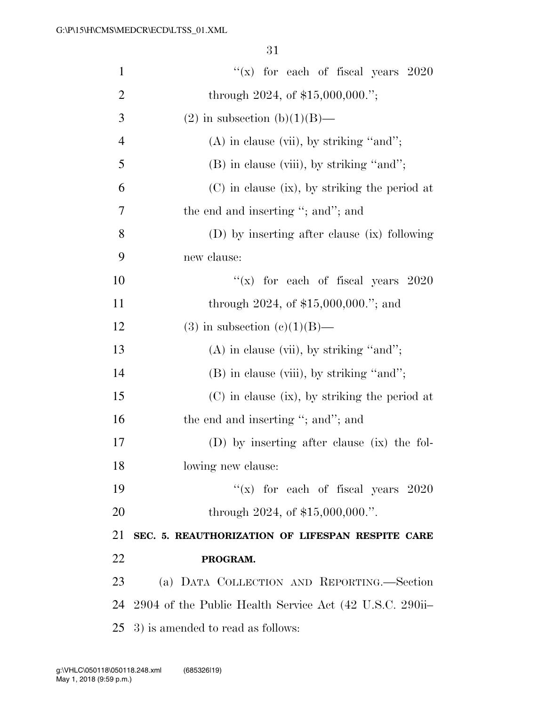| $\mathbf{1}$   | "(x) for each of fiscal years $2020$                    |
|----------------|---------------------------------------------------------|
| $\overline{2}$ | through 2024, of $$15,000,000."$ ;                      |
| 3              | $(2)$ in subsection $(b)(1)(B)$ —                       |
| $\overline{4}$ | $(A)$ in clause (vii), by striking "and";               |
| 5              | (B) in clause (viii), by striking "and";                |
| 6              | (C) in clause (ix), by striking the period at           |
| 7              | the end and inserting "; and"; and                      |
| 8              | (D) by inserting after clause (ix) following            |
| 9              | new clause:                                             |
| 10             | "(x) for each of fiscal years $2020$                    |
| 11             | through 2024, of $$15,000,000."$ ; and                  |
| 12             | $(3)$ in subsection $(c)(1)(B)$ —                       |
| 13             | $(A)$ in clause (vii), by striking "and";               |
| 14             | (B) in clause (viii), by striking "and";                |
| 15             | $(C)$ in clause (ix), by striking the period at         |
| 16             | the end and inserting "; and"; and                      |
| 17             | (D) by inserting after clause (ix) the fol-             |
| 18             | lowing new clause:                                      |
| 19             | "(x) for each of fiscal years $2020$                    |
| 20             | through 2024, of $$15,000,000."$ .                      |
| 21             | SEC. 5. REAUTHORIZATION OF LIFESPAN RESPITE CARE        |
| 22             | PROGRAM.                                                |
| 23             | (a) DATA COLLECTION AND REPORTING.—Section              |
| 24             | 2904 of the Public Health Service Act (42 U.S.C. 290ii- |
| 25             | 3) is amended to read as follows:                       |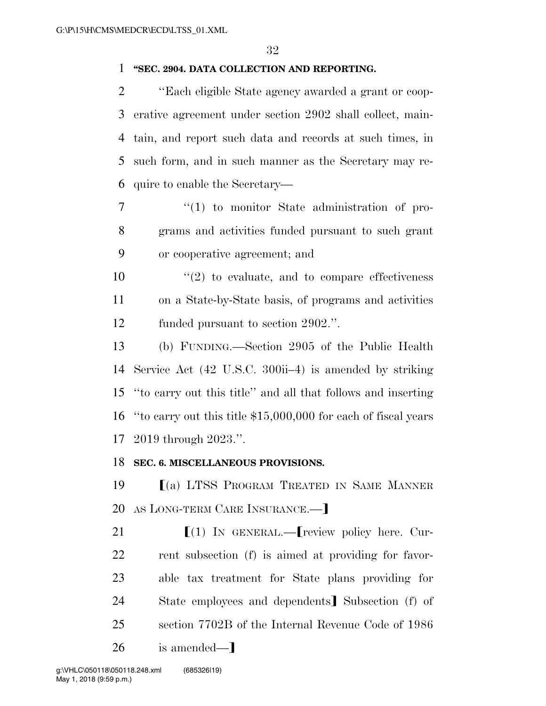#### **''SEC. 2904. DATA COLLECTION AND REPORTING.**

 ''Each eligible State agency awarded a grant or coop- erative agreement under section 2902 shall collect, main- tain, and report such data and records at such times, in such form, and in such manner as the Secretary may re-quire to enable the Secretary—

7  $\frac{1}{1}$  to monitor State administration of pro- grams and activities funded pursuant to such grant or cooperative agreement; and

10  $\frac{1}{2}$  to evaluate, and to compare effectiveness on a State-by-State basis, of programs and activities funded pursuant to section 2902.''.

 (b) FUNDING.—Section 2905 of the Public Health Service Act (42 U.S.C. 300ii–4) is amended by striking ''to carry out this title'' and all that follows and inserting ''to carry out this title \$15,000,000 for each of fiscal years 2019 through 2023.''.

#### **SEC. 6. MISCELLANEOUS PROVISIONS.**

**IOURE 19** (a) LTSS PROGRAM TREATED IN SAME MANNER 20 AS LONG-TERM CARE INSURANCE.—

 $\left[ (1) \right]$  IN GENERAL.— $\left[$  review policy here. Cur- rent subsection (f) is aimed at providing for favor- able tax treatment for State plans providing for 24 State employees and dependents Subsection (f) of section 7702B of the Internal Revenue Code of 1986 26 is amended—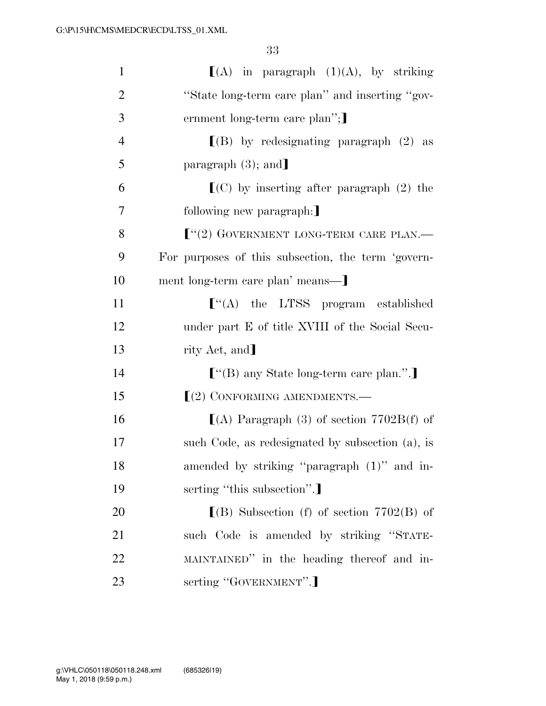| $\mathbf{1}$   | $[(A)$ in paragraph $(1)(A)$ , by striking         |
|----------------|----------------------------------------------------|
| $\overline{2}$ | "State long-term care plan" and inserting "gov-    |
| 3              | ernment long-term care plan";                      |
| $\overline{4}$ | $[(B)$ by redesignating paragraph $(2)$ as         |
| 5              | paragraph $(3)$ ; and                              |
| 6              | $\Gamma$ (C) by inserting after paragraph (2) the  |
| $\overline{7}$ | following new paragraph:                           |
| 8              | $[$ "(2) GOVERNMENT LONG-TERM CARE PLAN.—          |
| 9              | For purposes of this subsection, the term 'govern- |
| 10             | ment long-term care plan' means---]                |
| 11             | $\llbracket$ (A) the LTSS program established      |
| 12             | under part E of title XVIII of the Social Secu-    |
| 13             | rity Act, and]                                     |
| 14             | $[$ "(B) any State long-term care plan.".]         |
| 15             | $(2)$ CONFORMING AMENDMENTS.—                      |
| 16             | $(A)$ Paragraph (3) of section 7702B(f) of         |
| 17             | such Code, as redesignated by subsection (a), is   |
| 18             | amended by striking "paragraph (1)" and in-        |
| 19             | serting "this subsection".                         |
| <b>20</b>      | $\lfloor$ (B) Subsection (f) of section 7702(B) of |
| 21             | such Code is amended by striking "STATE-           |
| 22             | MAINTAINED" in the heading thereof and in-         |
| 23             | serting "GOVERNMENT".]                             |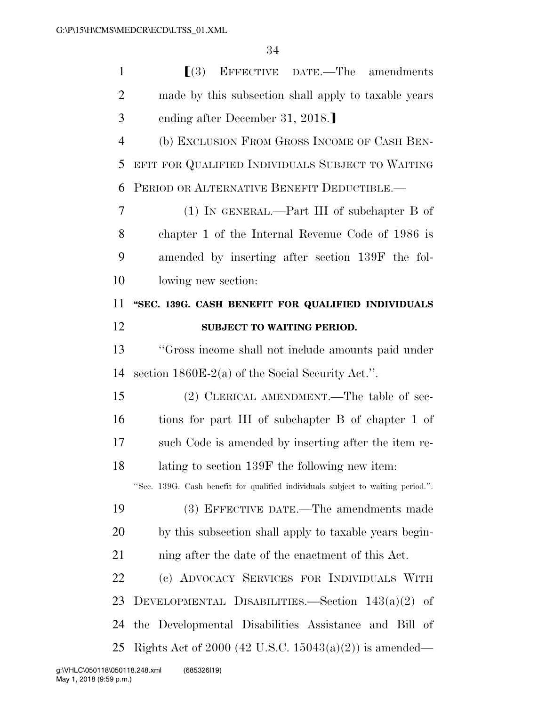| $\mathbf{1}$   | $\lceil (3) \rceil$<br>EFFECTIVE DATE.—The amendments                           |
|----------------|---------------------------------------------------------------------------------|
| $\overline{2}$ | made by this subsection shall apply to taxable years                            |
| 3              | ending after December 31, 2018.                                                 |
| $\overline{4}$ | (b) EXCLUSION FROM GROSS INCOME OF CASH BEN-                                    |
| 5              | EFIT FOR QUALIFIED INDIVIDUALS SUBJECT TO WAITING                               |
| 6              | PERIOD OR ALTERNATIVE BENEFIT DEDUCTIBLE.                                       |
| 7              | $(1)$ IN GENERAL.—Part III of subchapter B of                                   |
| 8              | chapter 1 of the Internal Revenue Code of 1986 is                               |
| 9              | amended by inserting after section 139F the fol-                                |
| 10             | lowing new section:                                                             |
| 11             | "SEC. 139G. CASH BENEFIT FOR QUALIFIED INDIVIDUALS                              |
| 12             | <b>SUBJECT TO WAITING PERIOD.</b>                                               |
| 13             | "Gross income shall not include amounts paid under                              |
| 14             | section $1860E-2(a)$ of the Social Security Act.".                              |
| 15             | (2) CLERICAL AMENDMENT.—The table of sec-                                       |
| 16             | tions for part III of subchapter B of chapter 1 of                              |
| 17             | such Code is amended by inserting after the item re-                            |
| 18             | lating to section 139F the following new item:                                  |
|                | "Sec. 139G. Cash benefit for qualified individuals subject to waiting period.". |
| 19             | (3) EFFECTIVE DATE.—The amendments made                                         |
| 20             | by this subsection shall apply to taxable years begin-                          |
| 21             | ning after the date of the enactment of this Act.                               |
| 22             | (c) ADVOCACY SERVICES FOR INDIVIDUALS WITH                                      |
| 23             | DEVELOPMENTAL DISABILITIES.—Section $143(a)(2)$<br>-of                          |
| 24             | the Developmental Disabilities Assistance and Bill<br>- of                      |
| 25             | Rights Act of 2000 (42 U.S.C. 15043(a)(2)) is amended—                          |